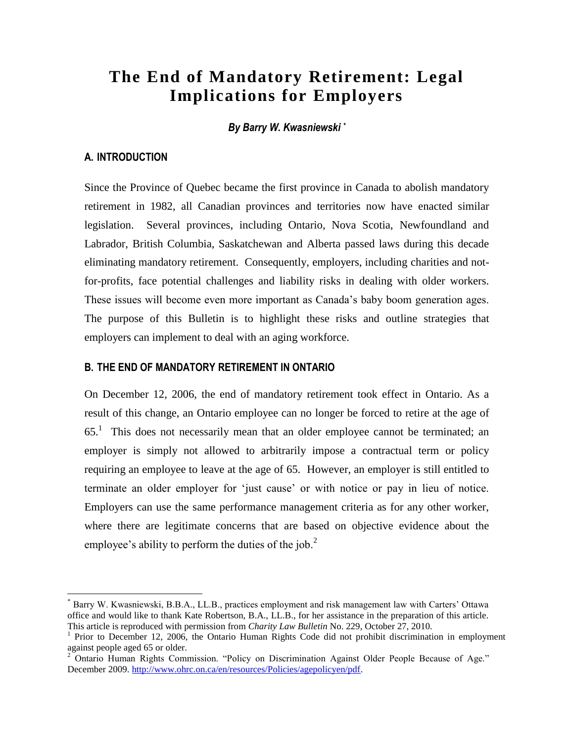# **The End of Mandatory Retirement: Legal Implications for Employers**

*By Barry W. Kwasniewski \**

## **A. INTRODUCTION**

 $\overline{a}$ 

Since the Province of Quebec became the first province in Canada to abolish mandatory retirement in 1982, all Canadian provinces and territories now have enacted similar legislation. Several provinces, including Ontario, Nova Scotia, Newfoundland and Labrador, British Columbia, Saskatchewan and Alberta passed laws during this decade eliminating mandatory retirement. Consequently, employers, including charities and notfor-profits, face potential challenges and liability risks in dealing with older workers. These issues will become even more important as Canada"s baby boom generation ages. The purpose of this Bulletin is to highlight these risks and outline strategies that employers can implement to deal with an aging workforce.

### **B. THE END OF MANDATORY RETIREMENT IN ONTARIO**

On December 12, 2006, the end of mandatory retirement took effect in Ontario. As a result of this change, an Ontario employee can no longer be forced to retire at the age of  $65<sup>1</sup>$  This does not necessarily mean that an older employee cannot be terminated; an employer is simply not allowed to arbitrarily impose a contractual term or policy requiring an employee to leave at the age of 65. However, an employer is still entitled to terminate an older employer for "just cause" or with notice or pay in lieu of notice. Employers can use the same performance management criteria as for any other worker, where there are legitimate concerns that are based on objective evidence about the employee's ability to perform the duties of the job.<sup>2</sup>

Barry W. Kwasniewski, B.B.A., LL.B., practices employment and risk management law with Carters' Ottawa office and would like to thank Kate Robertson, B.A., LL.B., for her assistance in the preparation of this article. This article is reproduced with permission from *Charity Law Bulletin* No. 229, October 27, 2010.

<sup>&</sup>lt;sup>1</sup> Prior to December 12, 2006, the Ontario Human Rights Code did not prohibit discrimination in employment against people aged 65 or older.

<sup>&</sup>lt;sup>2</sup> Ontario Human Rights Commission. "Policy on Discrimination Against Older People Because of Age." December 2009[. http://www.ohrc.on.ca/en/resources/Policies/agepolicyen/pdf.](http://www.ohrc.on.ca/en/resources/Policies/agepolicyen/pdf)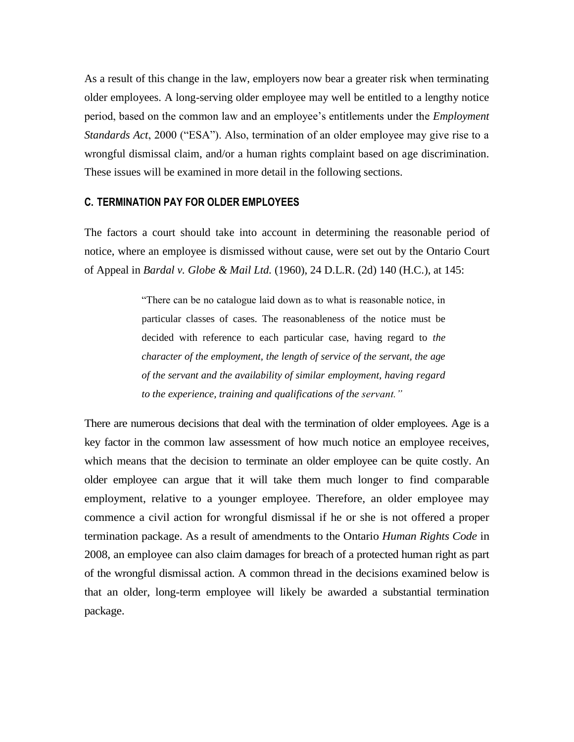As a result of this change in the law, employers now bear a greater risk when terminating older employees. A long-serving older employee may well be entitled to a lengthy notice period, based on the common law and an employee"s entitlements under the *Employment Standards Act*, 2000 ("ESA"). Also, termination of an older employee may give rise to a wrongful dismissal claim, and/or a human rights complaint based on age discrimination. These issues will be examined in more detail in the following sections.

#### **C. TERMINATION PAY FOR OLDER EMPLOYEES**

The factors a court should take into account in determining the reasonable period of notice, where an employee is dismissed without cause, were set out by the Ontario Court of Appeal in *Bardal v. Globe & Mail Ltd.* (1960), 24 D.L.R. (2d) 140 (H.C.), at 145:

> "There can be no catalogue laid down as to what is reasonable notice, in particular classes of cases. The reasonableness of the notice must be decided with reference to each particular case, having regard to *the character of the employment, the length of service of the servant, the age of the servant and the availability of similar employment, having regard to the experience, training and qualifications of the servant."*

There are numerous decisions that deal with the termination of older employees. Age is a key factor in the common law assessment of how much notice an employee receives, which means that the decision to terminate an older employee can be quite costly. An older employee can argue that it will take them much longer to find comparable employment, relative to a younger employee. Therefore, an older employee may commence a civil action for wrongful dismissal if he or she is not offered a proper termination package. As a result of amendments to the Ontario *Human Rights Code* in 2008, an employee can also claim damages for breach of a protected human right as part of the wrongful dismissal action. A common thread in the decisions examined below is that an older, long-term employee will likely be awarded a substantial termination package.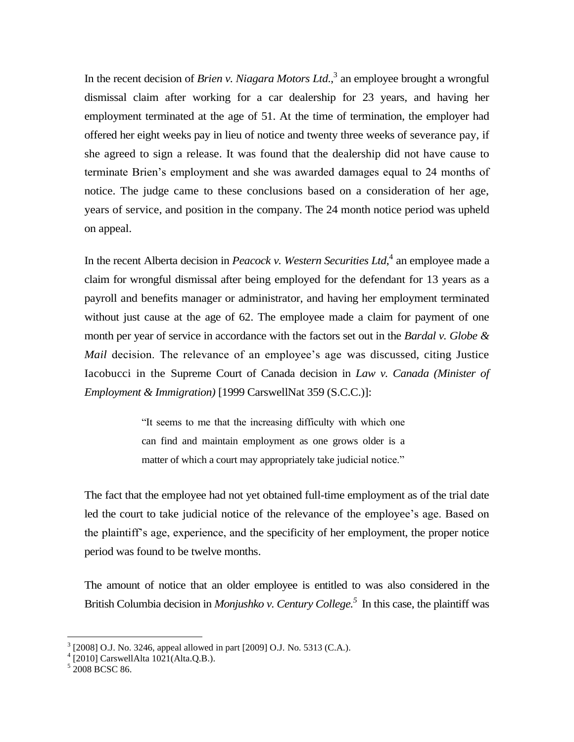In the recent decision of *Brien v. Niagara Motors Ltd*., 3 an employee brought a wrongful dismissal claim after working for a car dealership for 23 years, and having her employment terminated at the age of 51. At the time of termination, the employer had offered her eight weeks pay in lieu of notice and twenty three weeks of severance pay, if she agreed to sign a release. It was found that the dealership did not have cause to terminate Brien"s employment and she was awarded damages equal to 24 months of notice. The judge came to these conclusions based on a consideration of her age, years of service, and position in the company. The 24 month notice period was upheld on appeal.

In the recent Alberta decision in *Peacock v. Western Securities Ltd*, 4 an employee made a claim for wrongful dismissal after being employed for the defendant for 13 years as a payroll and benefits manager or administrator, and having her employment terminated without just cause at the age of 62. The employee made a claim for payment of one month per year of service in accordance with the factors set out in the *Bardal v. Globe & Mail* decision. The relevance of an employee's age was discussed, citing Justice Iacobucci in the Supreme Court of Canada decision in *Law v. Canada (Minister of Employment & Immigration)* [1999 CarswellNat 359 (S.C.C.)]:

> "It seems to me that the increasing difficulty with which one can find and maintain employment as one grows older is a matter of which a court may appropriately take judicial notice."

The fact that the employee had not yet obtained full-time employment as of the trial date led the court to take judicial notice of the relevance of the employee's age. Based on the plaintiff"s age, experience, and the specificity of her employment, the proper notice period was found to be twelve months.

The amount of notice that an older employee is entitled to was also considered in the British Columbia decision in *Monjushko v. Century College.<sup>5</sup>* In this case, the plaintiff was

 3 [2008] O.J. No. 3246, appeal allowed in part [2009] O.J. No. 5313 (C.A.). 4 [2010] CarswellAlta 1021(Alta.Q.B.).

<sup>5</sup> 2008 BCSC 86.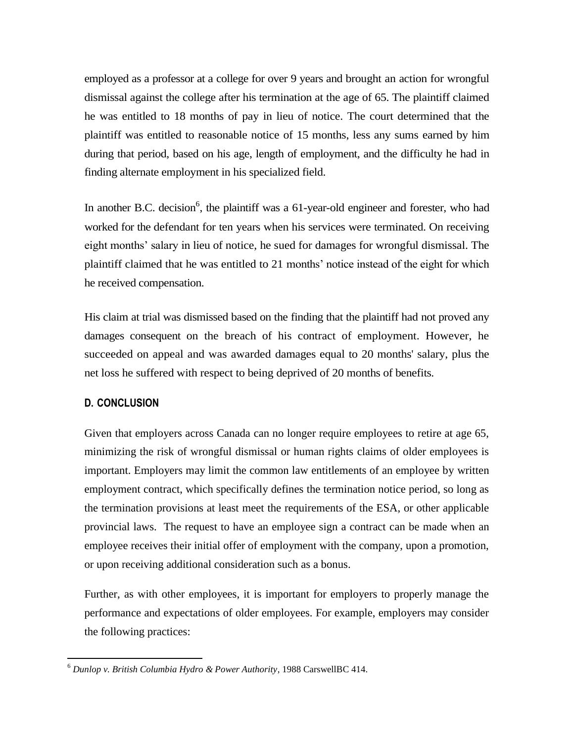employed as a professor at a college for over 9 years and brought an action for wrongful dismissal against the college after his termination at the age of 65. The plaintiff claimed he was entitled to 18 months of pay in lieu of notice. The court determined that the plaintiff was entitled to reasonable notice of 15 months, less any sums earned by him during that period, based on his age, length of employment, and the difficulty he had in finding alternate employment in his specialized field.

In another B.C. decision<sup>6</sup>, the plaintiff was a 61-year-old engineer and forester, who had worked for the defendant for ten years when his services were terminated. On receiving eight months' salary in lieu of notice, he sued for damages for wrongful dismissal. The plaintiff claimed that he was entitled to 21 months" notice instead of the eight for which he received compensation.

His claim at trial was dismissed based on the finding that the plaintiff had not proved any damages consequent on the breach of his contract of employment. However, he succeeded on appeal and was awarded damages equal to 20 months' salary, plus the net loss he suffered with respect to being deprived of 20 months of benefits.

#### **D. CONCLUSION**

 $\overline{a}$ 

Given that employers across Canada can no longer require employees to retire at age 65, minimizing the risk of wrongful dismissal or human rights claims of older employees is important. Employers may limit the common law entitlements of an employee by written employment contract, which specifically defines the termination notice period, so long as the termination provisions at least meet the requirements of the ESA, or other applicable provincial laws. The request to have an employee sign a contract can be made when an employee receives their initial offer of employment with the company, upon a promotion, or upon receiving additional consideration such as a bonus.

Further, as with other employees, it is important for employers to properly manage the performance and expectations of older employees. For example, employers may consider the following practices:

<sup>6</sup> *Dunlop v. British Columbia Hydro & Power Authority*, 1988 CarswellBC 414.